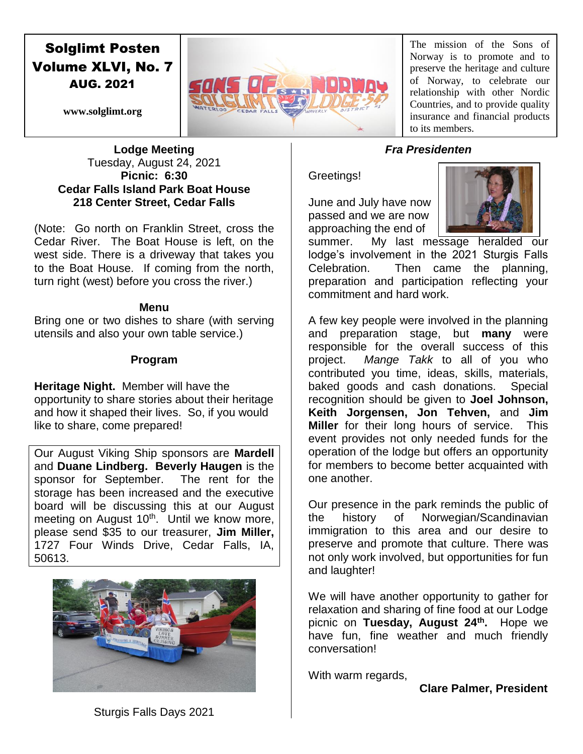# Solglimt Posten Volume XLVI, No. 7 AUG. 2021



The mission of the Sons of Norway is to promote and to preserve the heritage and culture of Norway, to celebrate our relationship with other Nordic Countries, and to provide quality insurance and financial products to its members.

**www.solglimt.org**

#### **Lodge Meeting** Tuesday, August 24, 2021 **Picnic: 6:30 Cedar Falls Island Park Boat House 218 Center Street, Cedar Falls**

(Note: Go north on Franklin Street, cross the Cedar River. The Boat House is left, on the west side. There is a driveway that takes you to the Boat House. If coming from the north, turn right (west) before you cross the river.)

#### **Menu**

Bring one or two dishes to share (with serving utensils and also your own table service.)

# **Program**

**Heritage Night.** Member will have the opportunity to share stories about their heritage and how it shaped their lives. So, if you would like to share, come prepared!

Our August Viking Ship sponsors are **Mardell** and **Duane Lindberg. Beverly Haugen** is the sponsor for September. The rent for the storage has been increased and the executive board will be discussing this at our August meeting on August 10<sup>th</sup>. Until we know more, please send \$35 to our treasurer, **Jim Miller,**  1727 Four Winds Drive, Cedar Falls, IA, 50613.



# *Fra Presidenten*

## Greetings!

June and July have now passed and we are now approaching the end of



summer. My last message heralded our lodge's involvement in the 2021 Sturgis Falls Celebration. Then came the planning, preparation and participation reflecting your commitment and hard work.

A few key people were involved in the planning and preparation stage, but **many** were responsible for the overall success of this project. *Mange Takk* to all of you who contributed you time, ideas, skills, materials, baked goods and cash donations. Special recognition should be given to **Joel Johnson, Keith Jorgensen, Jon Tehven,** and **Jim Miller** for their long hours of service. This event provides not only needed funds for the operation of the lodge but offers an opportunity for members to become better acquainted with one another.

Our presence in the park reminds the public of the history of Norwegian/Scandinavian immigration to this area and our desire to preserve and promote that culture. There was not only work involved, but opportunities for fun and laughter!

We will have another opportunity to gather for relaxation and sharing of fine food at our Lodge picnic on **Tuesday, August 24th .** Hope we have fun, fine weather and much friendly conversation!

With warm regards,

**Clare Palmer, President**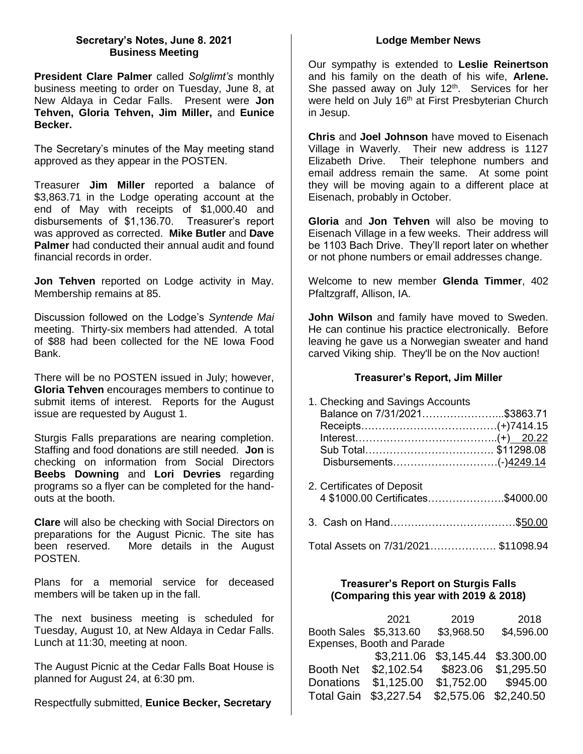#### **Secretary's Notes, June 8. 2021 Business Meeting**

**President Clare Palmer** called *Solglimt's* monthly business meeting to order on Tuesday, June 8, at New Aldaya in Cedar Falls. Present were **Jon Tehven, Gloria Tehven, Jim Miller,** and **Eunice Becker.**

The Secretary's minutes of the May meeting stand approved as they appear in the POSTEN.

Treasurer **Jim Miller** reported a balance of \$3,863.71 in the Lodge operating account at the end of May with receipts of \$1,000.40 and disbursements of \$1,136.70. Treasurer's report was approved as corrected. **Mike Butler** and **Dave Palmer** had conducted their annual audit and found financial records in order.

**Jon Tehven** reported on Lodge activity in May. Membership remains at 85.

Discussion followed on the Lodge's *Syntende Mai*  meeting. Thirty-six members had attended. A total of \$88 had been collected for the NE Iowa Food Bank.

There will be no POSTEN issued in July; however, **Gloria Tehven** encourages members to continue to submit items of interest. Reports for the August issue are requested by August 1.

Sturgis Falls preparations are nearing completion. Staffing and food donations are still needed. **Jon** is checking on information from Social Directors **Beebs Downing** and **Lori Devries** regarding programs so a flyer can be completed for the handouts at the booth.

**Clare** will also be checking with Social Directors on preparations for the August Picnic. The site has been reserved. More details in the August POSTEN.

Plans for a memorial service for deceased members will be taken up in the fall.

The next business meeting is scheduled for Tuesday, August 10, at New Aldaya in Cedar Falls. Lunch at 11:30, meeting at noon.

The August Picnic at the Cedar Falls Boat House is planned for August 24, at 6:30 pm.

Respectfully submitted, **Eunice Becker, Secretary**

#### **Lodge Member News**

Our sympathy is extended to **Leslie Reinertson**  and his family on the death of his wife, **Arlene.**  She passed away on July  $12<sup>th</sup>$ . Services for her were held on July 16<sup>th</sup> at First Presbyterian Church in Jesup.

**Chris** and **Joel Johnson** have moved to Eisenach Village in Waverly. Their new address is 1127 Elizabeth Drive. Their telephone numbers and email address remain the same. At some point they will be moving again to a different place at Eisenach, probably in October.

**Gloria** and **Jon Tehven** will also be moving to Eisenach Village in a few weeks. Their address will be 1103 Bach Drive. They'll report later on whether or not phone numbers or email addresses change.

Welcome to new member **Glenda Timmer**, 402 Pfaltzgraff, Allison, IA.

**John Wilson** and family have moved to Sweden. He can continue his practice electronically. Before leaving he gave us a Norwegian sweater and hand carved Viking ship. They'll be on the Nov auction!

#### **Treasurer's Report, Jim Miller**

| 1. Checking and Savings Accounts  |  |
|-----------------------------------|--|
| Balance on 7/31/2021\$3863.71     |  |
|                                   |  |
|                                   |  |
|                                   |  |
| Disbursements(-)4249.14           |  |
| 2. Certificates of Deposit        |  |
| 4 \$1000.00 Certificates\$4000.00 |  |
|                                   |  |
|                                   |  |

Total Assets on 7/31/2021………………. \$11098.94

#### **Treasurer's Report on Sturgis Falls (Comparing this year with 2019 & 2018)**

|                            | 2021       | 2019                  | 2018       |  |  |
|----------------------------|------------|-----------------------|------------|--|--|
| Booth Sales \$5,313.60     |            | \$3,968.50            | \$4,596.00 |  |  |
| Expenses, Booth and Parade |            |                       |            |  |  |
|                            | \$3,211.06 | \$3,145.44            | \$3.300.00 |  |  |
| <b>Booth Net</b>           | \$2,102.54 | \$823.06              | \$1,295.50 |  |  |
| <b>Donations</b>           | \$1,125.00 | \$1,752.00            | \$945.00   |  |  |
| <b>Total Gain</b>          | \$3,227.54 | \$2,575.06 \$2,240.50 |            |  |  |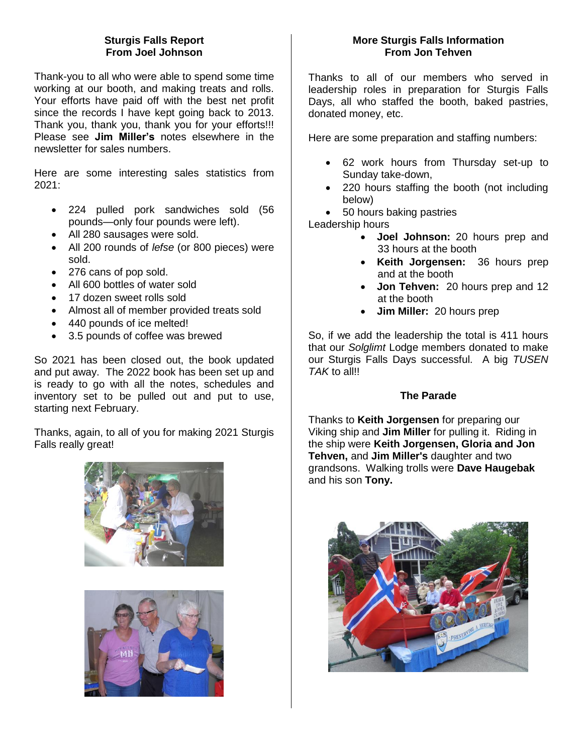## **Sturgis Falls Report From Joel Johnson**

Thank-you to all who were able to spend some time working at our booth, and making treats and rolls. Your efforts have paid off with the best net profit since the records I have kept going back to 2013. Thank you, thank you, thank you for your efforts!!! Please see **Jim Miller's** notes elsewhere in the newsletter for sales numbers.

Here are some interesting sales statistics from 2021:

- 224 pulled pork sandwiches sold (56 pounds—only four pounds were left).
- All 280 sausages were sold.
- All 200 rounds of *lefse* (or 800 pieces) were sold.
- 276 cans of pop sold.
- All 600 bottles of water sold
- 17 dozen sweet rolls sold
- Almost all of member provided treats sold
- 440 pounds of ice melted!
- 3.5 pounds of coffee was brewed

So 2021 has been closed out, the book updated and put away. The 2022 book has been set up and is ready to go with all the notes, schedules and inventory set to be pulled out and put to use, starting next February.

Thanks, again, to all of you for making 2021 Sturgis Falls really great!





## **More Sturgis Falls Information From Jon Tehven**

Thanks to all of our members who served in leadership roles in preparation for Sturgis Falls Days, all who staffed the booth, baked pastries, donated money, etc.

Here are some preparation and staffing numbers:

- 62 work hours from Thursday set-up to Sunday take-down,
- 220 hours staffing the booth (not including below)
- 50 hours baking pastries

Leadership hours

- **Joel Johnson:** 20 hours prep and 33 hours at the booth
- **Keith Jorgensen:** 36 hours prep and at the booth
- **Jon Tehven:** 20 hours prep and 12 at the booth
- **Jim Miller:** 20 hours prep

So, if we add the leadership the total is 411 hours that our *Solglimt* Lodge members donated to make our Sturgis Falls Days successful. A big *TUSEN TAK* to all!!

#### **The Parade**

Thanks to **Keith Jorgensen** for preparing our Viking ship and **Jim Miller** for pulling it. Riding in the ship were **Keith Jorgensen, Gloria and Jon Tehven,** and **Jim Miller's** daughter and two grandsons. Walking trolls were **Dave Haugebak** and his son **Tony.**